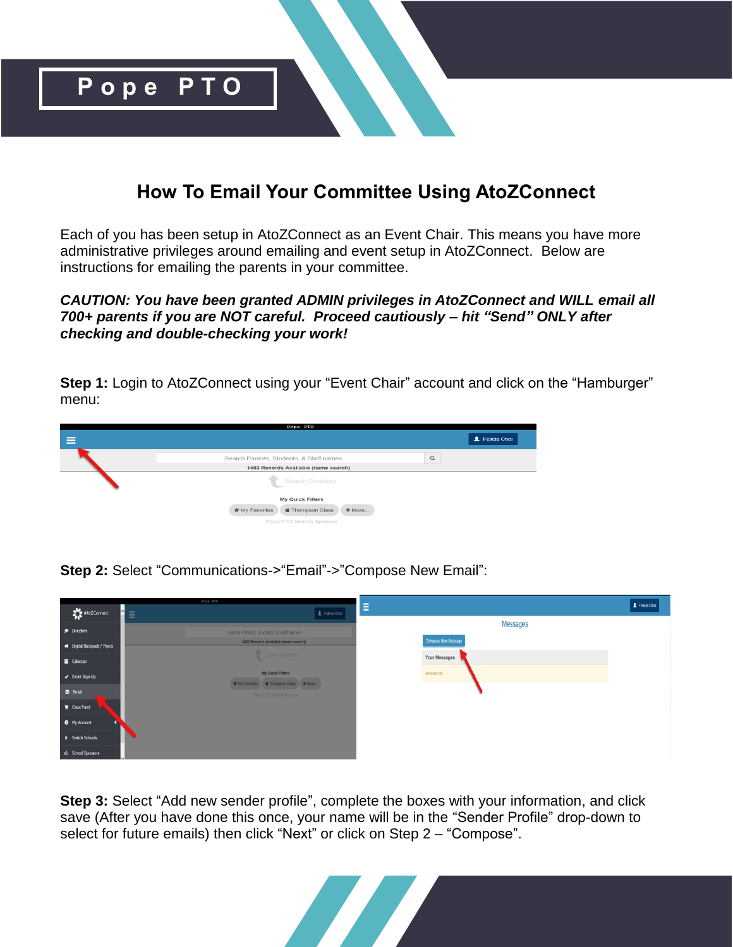

# **How To Email Your Committee Using AtoZConnect**

Each of you has been setup in AtoZConnect as an Event Chair. This means you have more administrative privileges around emailing and event setup in AtoZConnect. Below are instructions for emailing the parents in your committee.

### *CAUTION: You have been granted ADMIN privileges in AtoZConnect and WILL email all 700+ parents if you are NOT careful. Proceed cautiously – hit "Send" ONLY after checking and double-checking your work!*

**Step 1:** Login to AtoZConnect using your "Event Chair" account and click on the "Hamburger" menu:



**Step 2:** Select "Communications->"Email"->"Compose New Email":



**Step 3:** Select "Add new sender profile", complete the boxes with your information, and click save (After you have done this once, your name will be in the "Sender Profile" drop-down to select for future emails) then click "Next" or click on Step 2 – "Compose".

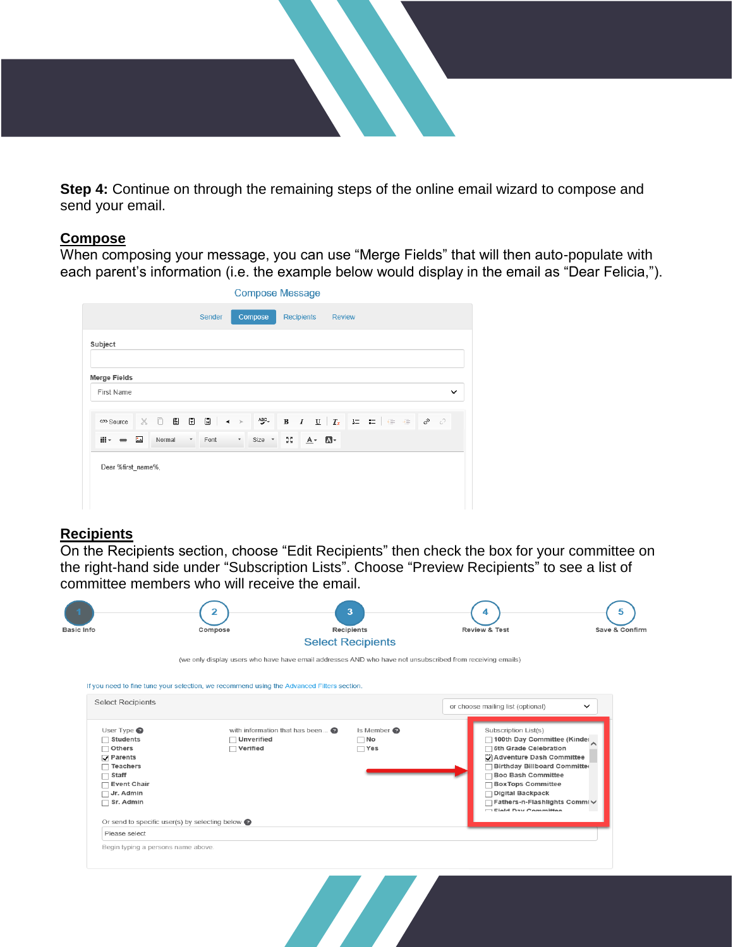

**Step 4:** Continue on through the remaining steps of the online email wizard to compose and send your email.

#### **Compose**

When composing your message, you can use "Merge Fields" that will then auto-populate with each parent's information (i.e. the example below would display in the email as "Dear Felicia,").

|                             |         |                          |        |            |          | <b>Compose Message</b> |                                           |                   |         |               |  |  |  |              |
|-----------------------------|---------|--------------------------|--------|------------|----------|------------------------|-------------------------------------------|-------------------|---------|---------------|--|--|--|--------------|
|                             |         |                          | Sender |            |          | Compose                |                                           | <b>Recipients</b> |         | <b>Review</b> |  |  |  |              |
| Subject                     |         |                          |        |            |          |                        |                                           |                   |         |               |  |  |  |              |
| <b>Merge Fields</b>         |         |                          |        |            |          |                        |                                           |                   |         |               |  |  |  |              |
| First Name                  |         |                          |        |            |          |                        |                                           |                   |         |               |  |  |  | $\checkmark$ |
| <p> Source</p>              | ※ □ 目 日 |                          |        | $\Box$ < > |          | $ABC -$                |                                           |                   |         |               |  |  |  |              |
| $\mathbb{H}^+ = \mathbb{R}$ | Normal  | $\overline{\phantom{a}}$ | Font   |            | $\tau$ . | Size *                 | $\mathcal{R}^{\mathcal{B}}_{\mathcal{B}}$ |                   | $A - A$ |               |  |  |  |              |

### **Recipients**

On the Recipients section, choose "Edit Recipients" then check the box for your committee on the right-hand side under "Subscription Lists". Choose "Preview Recipients" to see a list of committee members who will receive the email.

|                                                                                                                                                                                                                         |                                                                                                           | <b>Select Recipients</b>                         |                                                                                                                                                                                                                                                                                  |  |  |  |
|-------------------------------------------------------------------------------------------------------------------------------------------------------------------------------------------------------------------------|-----------------------------------------------------------------------------------------------------------|--------------------------------------------------|----------------------------------------------------------------------------------------------------------------------------------------------------------------------------------------------------------------------------------------------------------------------------------|--|--|--|
|                                                                                                                                                                                                                         | (we only display users who have have email addresses AND who have not unsubscribed from receiving emails) |                                                  |                                                                                                                                                                                                                                                                                  |  |  |  |
|                                                                                                                                                                                                                         | If you need to fine tune your selection, we recommend using the Advanced Filters section.                 |                                                  |                                                                                                                                                                                                                                                                                  |  |  |  |
| <b>Select Recipients</b>                                                                                                                                                                                                |                                                                                                           | or choose mailing list (optional)<br>$\check{ }$ |                                                                                                                                                                                                                                                                                  |  |  |  |
| User Type <sup>0</sup><br>$\Box$ Students<br>Others<br>□<br>$\sqrt{}$ Parents<br>$\Box$ Teachers<br>Staff<br><b>Event Chair</b><br>Jr. Admin<br>П<br>Sr. Admin<br>┍<br>Or send to specific user(s) by selecting below @ | with information that has been $\bullet$<br>□ Unverified<br>$\Box$ Verified                               | Is Member<br>$\Box$ No<br>$\Box$ Yes             | Subscription List(s)<br>100th Day Committee (Kinder<br>5th Grade Celebration<br>Adventure Dash Committee<br>Birthday Billboard Committed<br><b>Boo Bash Committee</b><br>Box Tops Committee<br>□ Digital Backpack<br>Fathers-n-Flashlights Commi V<br><b>Eight Day Committee</b> |  |  |  |
| Please select                                                                                                                                                                                                           |                                                                                                           |                                                  |                                                                                                                                                                                                                                                                                  |  |  |  |
| Begin typing a persons name above.                                                                                                                                                                                      |                                                                                                           |                                                  |                                                                                                                                                                                                                                                                                  |  |  |  |